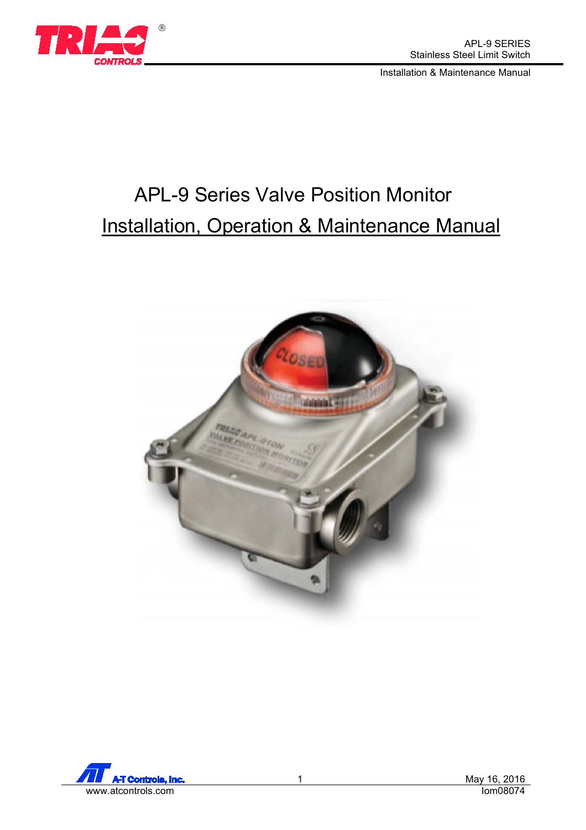

# APL-9 Series Valve Position Monitor **Installation, Operation & Maintenance Manual**



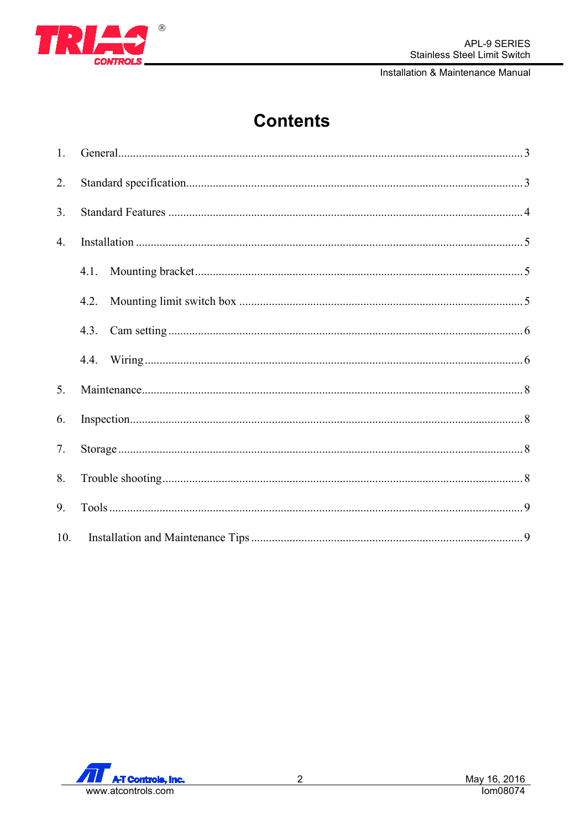

## **Contents**

| 1.  |      |  |
|-----|------|--|
| 2.  |      |  |
| 3.  |      |  |
| 4.  |      |  |
|     | 4.1. |  |
|     | 4.2. |  |
|     | 4.3. |  |
|     | 4.4. |  |
| 5.  |      |  |
| 6.  |      |  |
| 7.  |      |  |
| 8.  |      |  |
| 9.  |      |  |
| 10. |      |  |

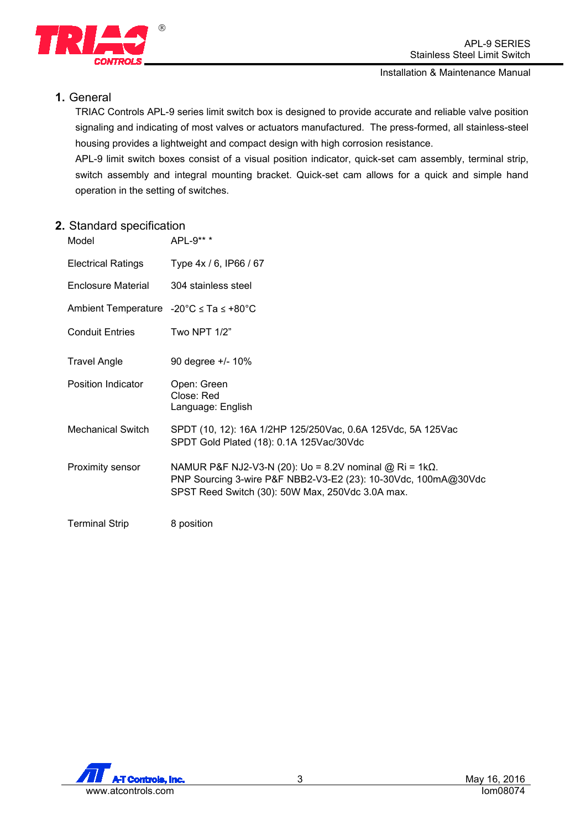

## <span id="page-2-0"></span>**1.** General

TRIAC Controls APL-9 series limit switch box is designed to provide accurate and reliable valve position signaling and indicating of most valves or actuators manufactured. The press-formed, all stainless-steel housing provides a lightweight and compact design with high corrosion resistance.

APL-9 limit switch boxes consist of a visual position indicator, quick-set cam assembly, terminal strip, switch assembly and integral mounting bracket. Quick-set cam allows for a quick and simple hand operation in the setting of switches.

## <span id="page-2-1"></span>**2.** Standard specification

| Model                                          | APL-9** *                                                                                                                                                                             |
|------------------------------------------------|---------------------------------------------------------------------------------------------------------------------------------------------------------------------------------------|
| <b>Electrical Ratings</b>                      | Type 4x / 6, IP66 / 67                                                                                                                                                                |
| <b>Enclosure Material</b>                      | 304 stainless steel                                                                                                                                                                   |
| Ambient Temperature -20°C $\le$ Ta $\le$ +80°C |                                                                                                                                                                                       |
| <b>Conduit Entries</b>                         | Two NPT 1/2"                                                                                                                                                                          |
| <b>Travel Angle</b>                            | 90 degree +/- 10%                                                                                                                                                                     |
| Position Indicator                             | Open: Green<br>Close: Red<br>Language: English                                                                                                                                        |
| <b>Mechanical Switch</b>                       | SPDT (10, 12): 16A 1/2HP 125/250Vac, 0.6A 125Vdc, 5A 125Vac<br>SPDT Gold Plated (18): 0.1A 125Vac/30Vdc                                                                               |
| Proximity sensor                               | NAMUR P&F NJ2-V3-N (20): Uo = 8.2V nominal @ Ri = 1k $\Omega$ .<br>PNP Sourcing 3-wire P&F NBB2-V3-E2 (23): 10-30Vdc, 100mA@30Vdc<br>SPST Reed Switch (30): 50W Max, 250Vdc 3.0A max. |
| <b>Terminal Strip</b>                          | 8 position                                                                                                                                                                            |

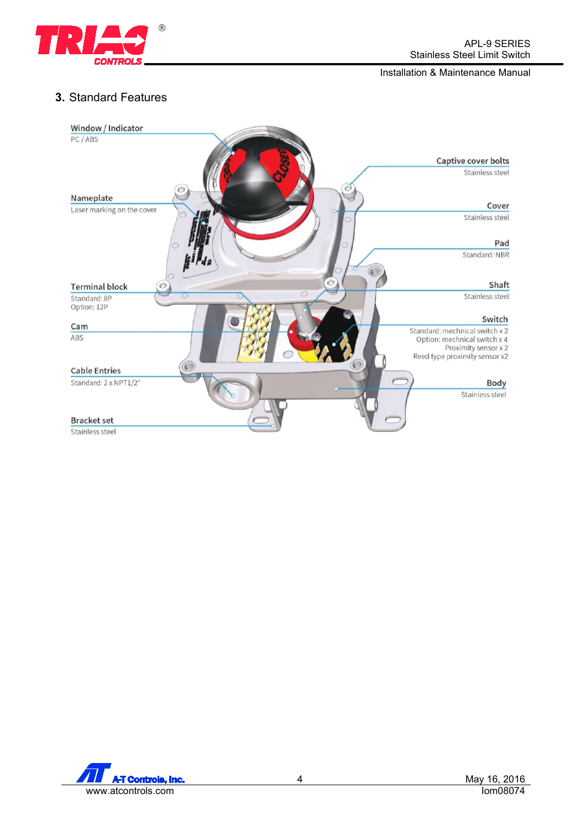

## <span id="page-3-0"></span>**3.** Standard Features



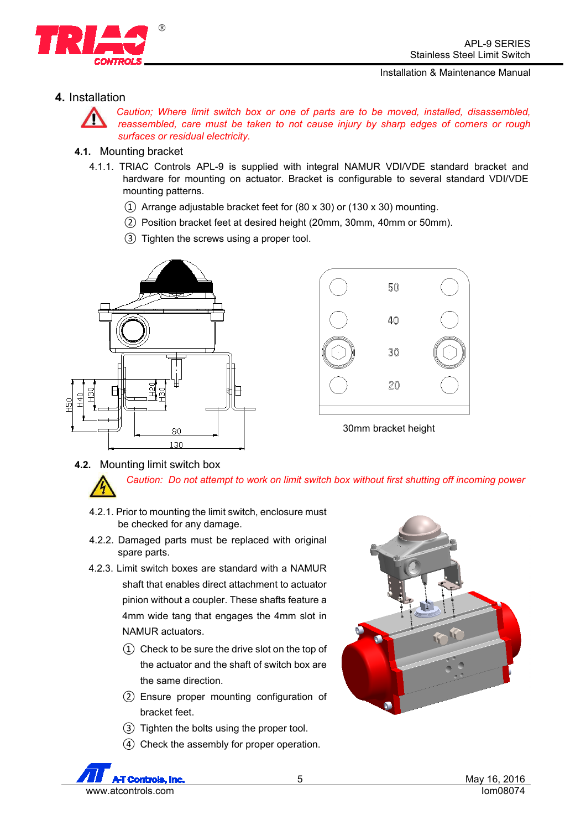

## <span id="page-4-0"></span>**4.** Installation



*Caution; Where limit switch box or one of parts are to be moved, installed, disassembled, reassembled, care must be taken to not cause injury by sharp edges of corners or rough surfaces or residual electricity.*

#### <span id="page-4-1"></span>**4.1.** Mounting bracket

- 4.1.1. TRIAC Controls APL-9 is supplied with integral NAMUR VDI/VDE standard bracket and hardware for mounting on actuator. Bracket is configurable to several standard VDI/VDE mounting patterns.
	- ① Arrange adjustable bracket feet for (80 x 30) or (130 x 30) mounting.
	- ② Position bracket feet at desired height (20mm, 30mm, 40mm or 50mm).
	- ③ Tighten the screws using a proper tool.





30mm bracket height

<span id="page-4-2"></span>**4.2.** Mounting limit switch box

*Caution: Do not attempt to work on limit switch box without first shutting off incoming power*

- 4.2.1. Prior to mounting the limit switch, enclosure must be checked for any damage.
- 4.2.2. Damaged parts must be replaced with original spare parts.
- 4.2.3. Limit switch boxes are standard with a NAMUR shaft that enables direct attachment to actuator pinion without a coupler. These shafts feature a 4mm wide tang that engages the 4mm slot in NAMUR actuators.
	- ① Check to be sure the drive slot on the top of the actuator and the shaft of switch box are the same direction.
	- ② Ensure proper mounting configuration of bracket feet.
	- ③ Tighten the bolts using the proper tool.
	- ④ Check the assembly for proper operation.

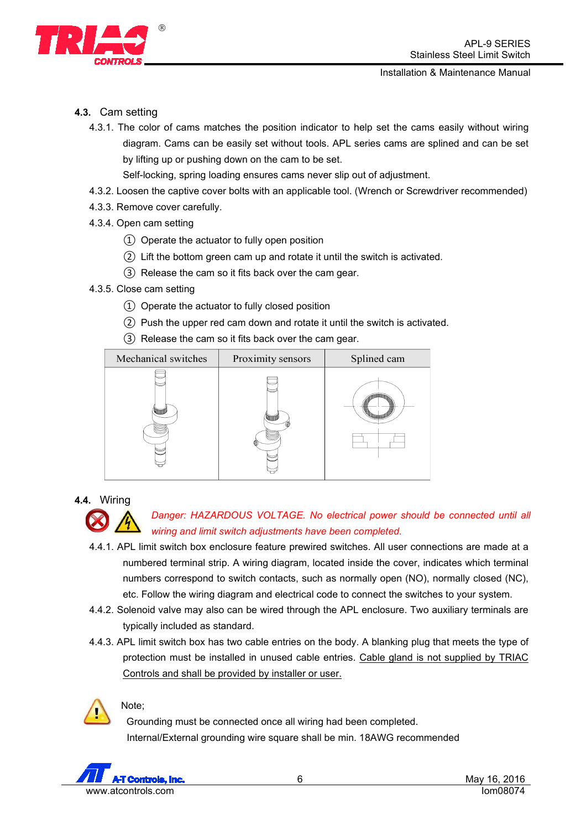

## <span id="page-5-0"></span>**4.3.** Cam setting

4.3.1. The color of cams matches the position indicator to help set the cams easily without wiring diagram. Cams can be easily set without tools. APL series cams are splined and can be set by lifting up or pushing down on the cam to be set.

Self-locking, spring loading ensures cams never slip out of adjustment.

- 4.3.2. Loosen the captive cover bolts with an applicable tool. (Wrench or Screwdriver recommended)
- 4.3.3. Remove cover carefully.
- 4.3.4. Open cam setting
	- ① Operate the actuator to fully open position
	- ② Lift the bottom green cam up and rotate it until the switch is activated.
	- ③ Release the cam so it fits back over the cam gear.
- 4.3.5. Close cam setting
	- ① Operate the actuator to fully closed position
	- ② Push the upper red cam down and rotate it until the switch is activated.
	- ③ Release the cam so it fits back over the cam gear.



<span id="page-5-1"></span>**4.4.** Wiring



- 4.4.1. APL limit switch box enclosure feature prewired switches. All user connections are made at a numbered terminal strip. A wiring diagram, located inside the cover, indicates which terminal numbers correspond to switch contacts, such as normally open (NO), normally closed (NC), etc. Follow the wiring diagram and electrical code to connect the switches to your system.
- 4.4.2. Solenoid valve may also can be wired through the APL enclosure. Two auxiliary terminals are typically included as standard.
- 4.4.3. APL limit switch box has two cable entries on the body. A blanking plug that meets the type of protection must be installed in unused cable entries. Cable gland is not supplied by TRIAC Controls and shall be provided by installer or user.



Note;

 Grounding must be connected once all wiring had been completed. Internal/External grounding wire square shall be min. 18AWG recommended

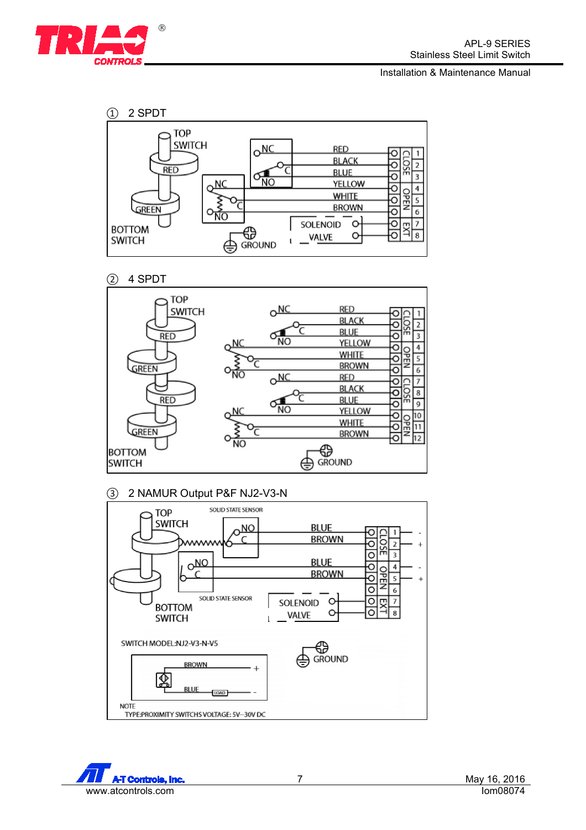









#### ③ 2 NAMUR Output P&F NJ2-V3-N



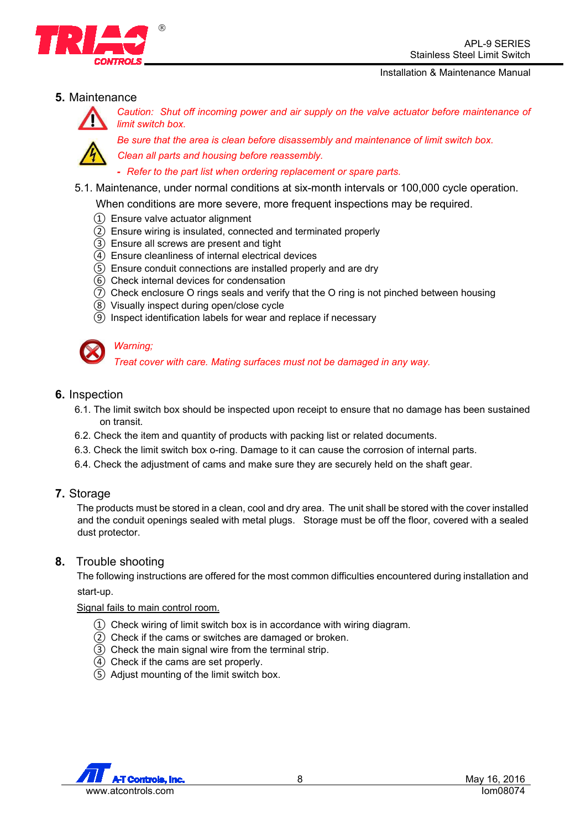## <span id="page-7-0"></span>**5.** Maintenance



*Caution: Shut off incoming power and air supply on the valve actuator before maintenance of limit switch box.*

*Be sure that the area is clean before disassembly and maintenance of limit switch box. Clean all parts and housing before reassembly.* 

*- Refer to the part list when ordering replacement or spare parts.*

- 5.1. Maintenance, under normal conditions at six-month intervals or 100,000 cycle operation.
	- When conditions are more severe, more frequent inspections may be required.
	- ① Ensure valve actuator alignment

 $^{\circledR}$ 

- ② Ensure wiring is insulated, connected and terminated properly
- ③ Ensure all screws are present and tight
- ④ Ensure cleanliness of internal electrical devices
- ⑤ Ensure conduit connections are installed properly and are dry
- ⑥ Check internal devices for condensation
- ⑦ Check enclosure O rings seals and verify that the O ring is not pinched between housing
- ⑧ Visually inspect during open/close cycle
- ⑨ Inspect identification labels for wear and replace if necessary



## *Warning;*

*Treat cover with care. Mating surfaces must not be damaged in any way.* 

### <span id="page-7-1"></span>**6.** Inspection

- 6.1. The limit switch box should be inspected upon receipt to ensure that no damage has been sustained on transit.
- 6.2. Check the item and quantity of products with packing list or related documents.
- 6.3. Check the limit switch box o-ring. Damage to it can cause the corrosion of internal parts.
- 6.4. Check the adjustment of cams and make sure they are securely held on the shaft gear.

#### <span id="page-7-2"></span>**7.** Storage

The products must be stored in a clean, cool and dry area. The unit shall be stored with the cover installed and the conduit openings sealed with metal plugs. Storage must be off the floor, covered with a sealed dust protector.

#### <span id="page-7-3"></span>**8.** Trouble shooting

The following instructions are offered for the most common difficulties encountered during installation and start-up.

#### Signal fails to main control room.

- $\Omega$  Check wiring of limit switch box is in accordance with wiring diagram.
- ② Check if the cams or switches are damaged or broken.
- ③ Check the main signal wire from the terminal strip.
- ④ Check if the cams are set properly.
- ⑤ Adjust mounting of the limit switch box.